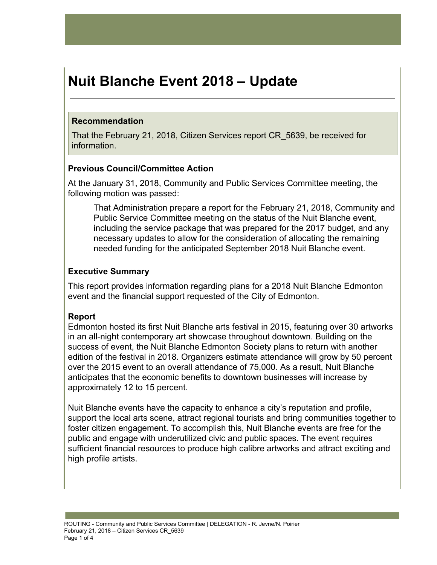# **Nuit Blanche Event 2018 – Update**

## **Recommendation**

That the February 21, 2018, Citizen Services report CR\_5639, be received for information.

## **Previous Council/Committee Action**

At the January 31, 2018, Community and Public Services Committee meeting, the following motion was passed:

That Administration prepare a report for the February 21, 2018, Community and Public Service Committee meeting on the status of the Nuit Blanche event, including the service package that was prepared for the 2017 budget, and any necessary updates to allow for the consideration of allocating the remaining needed funding for the anticipated September 2018 Nuit Blanche event.

# **Executive Summary**

This report provides information regarding plans for a 2018 Nuit Blanche Edmonton event and the financial support requested of the City of Edmonton.

# **Report**

Edmonton hosted its first Nuit Blanche arts festival in 2015, featuring over 30 artworks in an all-night contemporary art showcase throughout downtown. Building on the success of event, the Nuit Blanche Edmonton Society plans to return with another edition of the festival in 2018. Organizers estimate attendance will grow by 50 percent over the 2015 event to an overall attendance of 75,000. As a result, Nuit Blanche anticipates that the economic benefits to downtown businesses will increase by approximately 12 to 15 percent.

Nuit Blanche events have the capacity to enhance a city's reputation and profile, support the local arts scene, attract regional tourists and bring communities together to foster citizen engagement. To accomplish this, Nuit Blanche events are free for the public and engage with underutilized civic and public spaces. The event requires sufficient financial resources to produce high calibre artworks and attract exciting and high profile artists.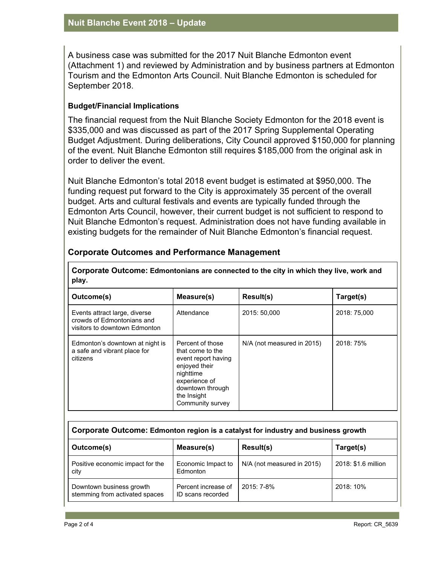A business case was submitted for the 2017 Nuit Blanche Edmonton event (Attachment 1) and reviewed by Administration and by business partners at Edmonton Tourism and the Edmonton Arts Council. Nuit Blanche Edmonton is scheduled for September 2018.

#### **Budget/Financial Implications**

The financial request from the Nuit Blanche Society Edmonton for the 2018 event is \$335,000 and was discussed as part of the 2017 Spring Supplemental Operating Budget Adjustment. During deliberations, City Council approved \$150,000 for planning of the event. Nuit Blanche Edmonton still requires \$185,000 from the original ask in order to deliver the event.

Nuit Blanche Edmonton's total 2018 event budget is estimated at \$950,000. The funding request put forward to the City is approximately 35 percent of the overall budget. Arts and cultural festivals and events are typically funded through the Edmonton Arts Council, however, their current budget is not sufficient to respond to Nuit Blanche Edmonton's request. Administration does not have funding available in existing budgets for the remainder of Nuit Blanche Edmonton's financial request.

**Corporate Outcome: Edmontonians are connected to the city in which they live, work and**

| Outcome(s)                                                                                                                                                                                                                                       | Measure(s) | Result(s)                  | Target(s)    |  |  |  |  |
|--------------------------------------------------------------------------------------------------------------------------------------------------------------------------------------------------------------------------------------------------|------------|----------------------------|--------------|--|--|--|--|
| Events attract large, diverse<br>crowds of Edmontonians and<br>visitors to downtown Edmonton                                                                                                                                                     | Attendance | 2015: 50.000               | 2018: 75,000 |  |  |  |  |
| Percent of those<br>Edmonton's downtown at night is<br>a safe and vibrant place for<br>that come to the<br>citizens<br>event report having<br>enjoyed their<br>nighttime<br>experience of<br>downtown through<br>the Insight<br>Community survey |            | N/A (not measured in 2015) | 2018: 75%    |  |  |  |  |

#### **Corporate Outcomes and Performance Management**

| Corporate Outcome: Edmonton region is a catalyst for industry and business growth |                                          |                            |                     |  |  |  |  |
|-----------------------------------------------------------------------------------|------------------------------------------|----------------------------|---------------------|--|--|--|--|
| Outcome(s)                                                                        | Measure(s)                               | Result(s)                  | Target(s)           |  |  |  |  |
| Positive economic impact for the<br>city                                          | Economic Impact to<br>Edmonton           | N/A (not measured in 2015) | 2018: \$1.6 million |  |  |  |  |
| Downtown business growth<br>stemming from activated spaces                        | Percent increase of<br>ID scans recorded | 2015: 7-8%                 | 2018: 10%           |  |  |  |  |

**play.**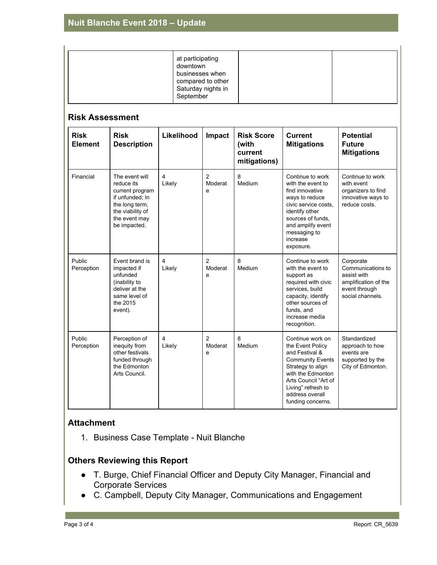| at participating<br>downtown<br>businesses when<br>compared to other<br>Saturday nights in<br>September |  |  |
|---------------------------------------------------------------------------------------------------------|--|--|
|---------------------------------------------------------------------------------------------------------|--|--|

#### **Risk Assessment**

| <b>Risk</b><br><b>Element</b> | <b>Risk</b><br><b>Description</b>                                                                                                         | Likelihood               | Impact                         | <b>Risk Score</b><br>(with<br>current<br>mitigations) | <b>Current</b><br><b>Mitigations</b>                                                                                                                                                                              | <b>Potential</b><br><b>Future</b><br><b>Mitigations</b>                                                    |
|-------------------------------|-------------------------------------------------------------------------------------------------------------------------------------------|--------------------------|--------------------------------|-------------------------------------------------------|-------------------------------------------------------------------------------------------------------------------------------------------------------------------------------------------------------------------|------------------------------------------------------------------------------------------------------------|
| Financial                     | The event will<br>reduce its<br>current program<br>if unfunded; In<br>the long term,<br>the viability of<br>the event may<br>be impacted. | $\overline{4}$<br>Likely | $\overline{2}$<br>Moderat<br>e | 8<br>Medium                                           | Continue to work<br>with the event to<br>find innovative<br>ways to reduce<br>civic service costs.<br>identify other<br>sources of funds.<br>and amplify event<br>messaging to<br>increase<br>exposure.           | Continue to work<br>with event<br>organizers to find<br>innovative ways to<br>reduce costs.                |
| Public<br>Perception          | Event brand is<br>impacted if<br>unfunded<br>(inability to<br>deliver at the<br>same level of<br>the 2015<br>event).                      | $\overline{4}$<br>Likely | 2<br>Moderat<br>e              | 8<br>Medium                                           | Continue to work<br>with the event to<br>support as<br>required with civic<br>services, build<br>capacity, identify<br>other sources of<br>funds, and<br>increase media<br>recognition.                           | Corporate<br>Communications to<br>assist with<br>amplification of the<br>event through<br>social channels. |
| Public<br>Perception          | Perception of<br>inequity from<br>other festivals<br>funded through<br>the Edmonton<br>Arts Council.                                      | 4<br>Likely              | $\overline{2}$<br>Moderat<br>e | 8<br>Medium                                           | Continue work on<br>the Event Policy<br>and Festival &<br><b>Community Events</b><br>Strategy to align<br>with the Edmonton<br>Arts Council "Art of<br>Living" refresh to<br>address overall<br>funding concerns. | Standardized<br>approach to how<br>events are<br>supported by the<br>City of Edmonton.                     |

## **Attachment**

1. Business Case Template - Nuit Blanche

## **Others Reviewing this Report**

- T. Burge, Chief Financial Officer and Deputy City Manager, Financial and Corporate Services
- C. Campbell, Deputy City Manager, Communications and Engagement